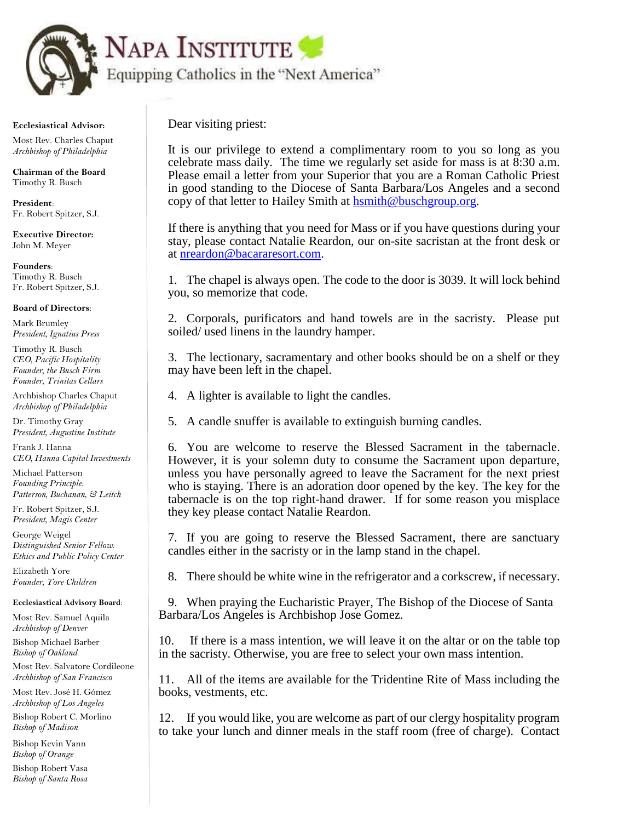

 **Ecclesiastical Advisor:**

 Most Rev. Charles Chaput  *Archbishop of Philadelphia*

 **Chairman of the Board** Timothy R. Busch

 **President**: Fr. Robert Spitzer, S.J.

 **Executive Director:** John M. Meyer

 **Founders**: Timothy R. Busch Fr. Robert Spitzer, S.J.

 **Board of Directors**:

 Mark Brumley  *President, Ignatius Press*

 Timothy R. Busch  *CEO, Pacific Hospitality Founder, the Busch Firm Founder, Trinitas Cellars*

 Archbishop Charles Chaput  *Archbishop of Philadelphia* 

 Dr. Timothy Gray  *President, Augustine Institute*

 Frank J. Hanna  *CEO, Hanna Capital Investments*

 Michael Patterson  *Founding Principle: Patterson, Buchanan, & Leitch*

 Fr. Robert Spitzer, S.J.  *President, Magis Center*

 George Weigel  *Distinguished Senior Fellow: Ethics and Public Policy Center*

 Elizabeth Yore  *Founder, Yore Children* 

 **Ecclesiastical Advisory Board**:

 Most Rev. Samuel Aquila  *Archbishop of Denver*

 Bishop Michael Barber  *Bishop of Oakland*

 Most Rev. Salvatore Cordileone  *Archbishop of San Francisco*

 Most Rev. José H. Gómez  *Archbishop of Los Angeles*

 Bishop Robert C. Morlino  *Bishop of Madison*

 Bishop Kevin Vann  *Bishop of Orange*

 Bishop Robert Vasa  *Bishop of Santa Rosa* Dear visiting priest:

It is our privilege to extend a complimentary room to you so long as you celebrate mass daily. The time we regularly set aside for mass is at 8:30 a.m. Please email a letter from your Superior that you are a Roman Catholic Priest in good standing to the Diocese of Santa Barbara/Los Angeles and a second copy of that letter to Hailey Smith at **haspional letter** org.

If there is anything that you need for Mass or if you have questions during your stay, please contact Natalie Reardon, our on-site sacristan at the front desk or at [nreardon@bacararesort.com.](mailto:nreardon@bacararesort.com)

1. The chapel is always open. The code to the door is 3039. It will lock behind you, so memorize that code.

2. Corporals, purificators and hand towels are in the sacristy. Please put soiled/ used linens in the laundry hamper.

3. The lectionary, sacramentary and other books should be on a shelf or they may have been left in the chapel.

4. A lighter is available to light the candles.

5. A candle snuffer is available to extinguish burning candles.

6. You are welcome to reserve the Blessed Sacrament in the tabernacle. However, it is your solemn duty to consume the Sacrament upon departure, unless you have personally agreed to leave the Sacrament for the next priest who is staying. There is an adoration door opened by the key. The key for the tabernacle is on the top right-hand drawer. If for some reason you misplace they key please contact Natalie Reardon.

7. If you are going to reserve the Blessed Sacrament, there are sanctuary candles either in the sacristy or in the lamp stand in the chapel.

8. There should be white wine in the refrigerator and a corkscrew, if necessary.

9. When praying the Eucharistic Prayer, The Bishop of the Diocese of Santa Barbara/Los Angeles is Archbishop Jose Gomez.

10. If there is a mass intention, we will leave it on the altar or on the table top in the sacristy. Otherwise, you are free to select your own mass intention.

11. All of the items are available for the Tridentine Rite of Mass including the books, vestments, etc.

12. If you would like, you are welcome as part of our clergy hospitality program to take your lunch and dinner meals in the staff room (free of charge). Contact